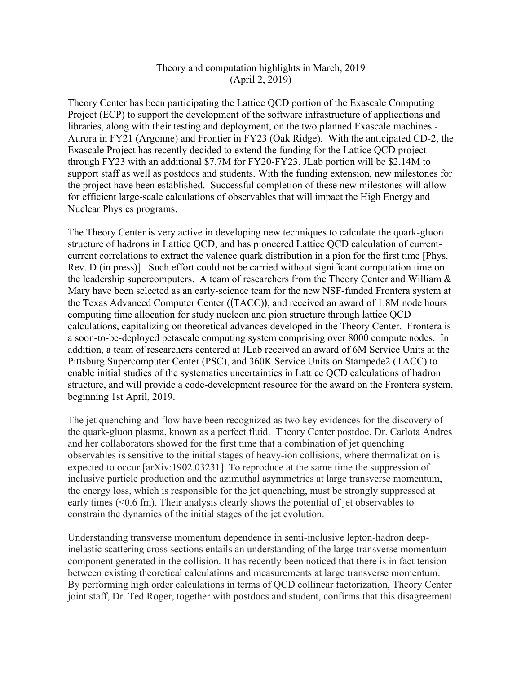## Theory and computation highlights in March, 2019 (April 2, 2019)

Theory Center has been participating the Lattice QCD portion of the Exascale Computing Project (ECP) to support the development of the software infrastructure of applications and libraries, along with their testing and deployment, on the two planned Exascale machines - Aurora in FY21 (Argonne) and Frontier in FY23 (Oak Ridge). With the anticipated CD-2, the Exascale Project has recently decided to extend the funding for the Lattice QCD project through FY23 with an additional \$7.7M for FY20-FY23. JLab portion will be \$2.14M to support staff as well as postdocs and students. With the funding extension, new milestones for the project have been established. Successful completion of these new milestones will allow for efficient large-scale calculations of observables that will impact the High Energy and Nuclear Physics programs.

The Theory Center is very active in developing new techniques to calculate the quark-gluon structure of hadrons in Lattice QCD, and has pioneered Lattice QCD calculation of currentcurrent correlations to extract the valence quark distribution in a pion for the first time [Phys. Rev. D (in press)]. Such effort could not be carried without significant computation time on the leadership supercomputers. A team of researchers from the Theory Center and William  $\&$ Mary have been selected as an early-science team for the new NSF-funded Frontera system at the Texas Advanced Computer Center ( $(TACC)$ ), and received an award of 1.8M node hours computing time allocation for study nucleon and pion structure through lattice QCD calculations, capitalizing on theoretical advances developed in the Theory Center. Frontera is a soon-to-be-deployed petascale computing system comprising over 8000 compute nodes. In addition, a team of researchers centered at JLab received an award of 6M Service Units at the Pittsburg Supercomputer Center (PSC), and 360K Service Units on Stampede2 (TACC) to enable initial studies of the systematics uncertainties in Lattice QCD calculations of hadron structure, and will provide a code-development resource for the award on the Frontera system, beginning 1st April, 2019.

The jet quenching and flow have been recognized as two key evidences for the discovery of the quark-gluon plasma, known as a perfect fluid. Theory Center postdoc, Dr. Carlota Andres and her collaborators showed for the first time that a combination of jet quenching observables is sensitive to the initial stages of heavy-ion collisions, where thermalization is expected to occur [arXiv:1902.03231]. To reproduce at the same time the suppression of inclusive particle production and the azimuthal asymmetries at large transverse momentum, the energy loss, which is responsible for the jet quenching, must be strongly suppressed at early times (<0.6 fm). Their analysis clearly shows the potential of jet observables to constrain the dynamics of the initial stages of the jet evolution.

Understanding transverse momentum dependence in semi-inclusive lepton-hadron deepinelastic scattering cross sections entails an understanding of the large transverse momentum component generated in the collision. It has recently been noticed that there is in fact tension between existing theoretical calculations and measurements at large transverse momentum. By performing high order calculations in terms of QCD collinear factorization, Theory Center joint staff, Dr. Ted Roger, together with postdocs and student, confirms that this disagreement